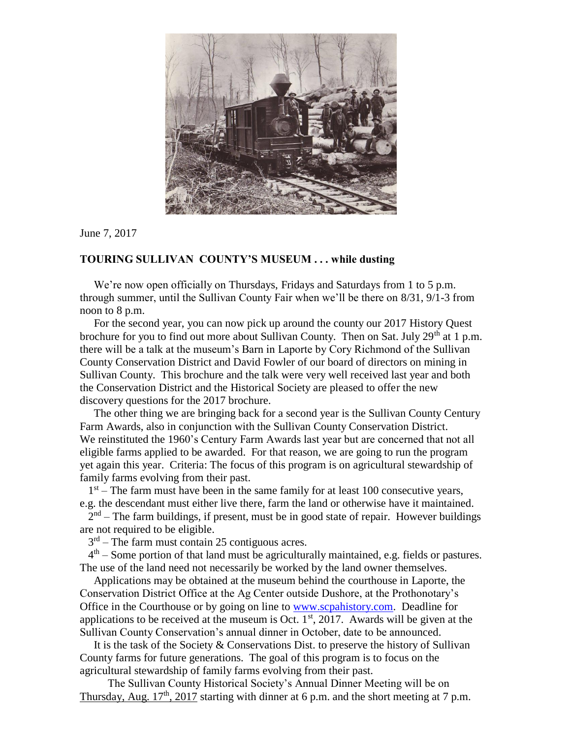

## June 7, 2017

## **TOURING SULLIVAN COUNTY'S MUSEUM . . . while dusting**

We're now open officially on Thursdays, Fridays and Saturdays from 1 to 5 p.m. through summer, until the Sullivan County Fair when we'll be there on 8/31, 9/1-3 from noon to 8 p.m.

 For the second year, you can now pick up around the county our 2017 History Quest brochure for you to find out more about Sullivan County. Then on Sat. July  $29<sup>th</sup>$  at 1 p.m. there will be a talk at the museum's Barn in Laporte by Cory Richmond of the Sullivan County Conservation District and David Fowler of our board of directors on mining in Sullivan County. This brochure and the talk were very well received last year and both the Conservation District and the Historical Society are pleased to offer the new discovery questions for the 2017 brochure.

 The other thing we are bringing back for a second year is the Sullivan County Century Farm Awards, also in conjunction with the Sullivan County Conservation District. We reinstituted the 1960's Century Farm Awards last year but are concerned that not all eligible farms applied to be awarded. For that reason, we are going to run the program yet again this year. Criteria: The focus of this program is on agricultural stewardship of family farms evolving from their past.

 $1<sup>st</sup>$  – The farm must have been in the same family for at least 100 consecutive years, e.g. the descendant must either live there, farm the land or otherwise have it maintained.

 $2<sup>nd</sup>$  – The farm buildings, if present, must be in good state of repair. However buildings are not required to be eligible.

3 rd – The farm must contain 25 contiguous acres.

 4 th – Some portion of that land must be agriculturally maintained, e.g. fields or pastures. The use of the land need not necessarily be worked by the land owner themselves.

 Applications may be obtained at the museum behind the courthouse in Laporte, the Conservation District Office at the Ag Center outside Dushore, at the Prothonotary's Office in the Courthouse or by going on line to [www.scpahistory.com.](http://www.scpahistory.com/) Deadline for applications to be received at the museum is Oct.  $1<sup>st</sup>$ , 2017. Awards will be given at the Sullivan County Conservation's annual dinner in October, date to be announced.

It is the task of the Society  $&$  Conservations Dist. to preserve the history of Sullivan County farms for future generations. The goal of this program is to focus on the agricultural stewardship of family farms evolving from their past.

 The Sullivan County Historical Society's Annual Dinner Meeting will be on Thursday, Aug.  $17<sup>th</sup>$ , 2017 starting with dinner at 6 p.m. and the short meeting at 7 p.m.